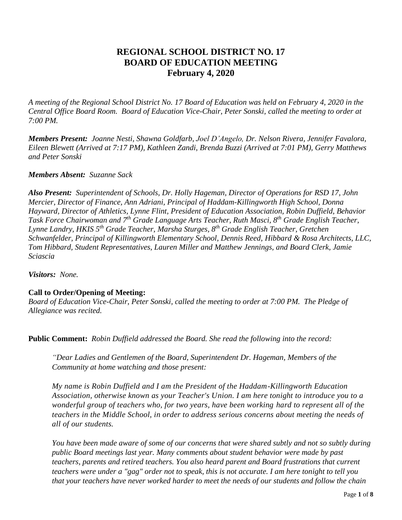# **REGIONAL SCHOOL DISTRICT NO. 17 BOARD OF EDUCATION MEETING February 4, 2020**

*A meeting of the Regional School District No. 17 Board of Education was held on February 4, 2020 in the Central Office Board Room. Board of Education Vice-Chair, Peter Sonski, called the meeting to order at 7:00 PM.*

*Members Present: Joanne Nesti, Shawna Goldfarb, Joel D'Angelo, Dr. Nelson Rivera, Jennifer Favalora, Eileen Blewett (Arrived at 7:17 PM), Kathleen Zandi, Brenda Buzzi (Arrived at 7:01 PM), Gerry Matthews and Peter Sonski*

#### *Members Absent: Suzanne Sack*

*Also Present: Superintendent of Schools, Dr. Holly Hageman, Director of Operations for RSD 17, John Mercier, Director of Finance, Ann Adriani, Principal of Haddam-Killingworth High School, Donna Hayward, Director of Athletics, Lynne Flint, President of Education Association, Robin Duffield, Behavior Task Force Chairwoman and 7 th Grade Language Arts Teacher, Ruth Masci, 8th Grade English Teacher, Lynne Landry, HKIS 5th Grade Teacher, Marsha Sturges, 8th Grade English Teacher, Gretchen Schwanfelder, Principal of Killingworth Elementary School, Dennis Reed, Hibbard & Rosa Architects, LLC, Tom Hibbard, Student Representatives, Lauren Miller and Matthew Jennings, and Board Clerk, Jamie Sciascia*

*Visitors: None.*

#### **Call to Order/Opening of Meeting:**

*Board of Education Vice-Chair, Peter Sonski, called the meeting to order at 7:00 PM. The Pledge of Allegiance was recited.*

**Public Comment:** *Robin Duffield addressed the Board. She read the following into the record:*

*"Dear Ladies and Gentlemen of the Board, Superintendent Dr. Hageman, Members of the Community at home watching and those present:*

*My name is Robin Duffield and I am the President of the Haddam-Killingworth Education Association, otherwise known as your Teacher's Union. I am here tonight to introduce you to a wonderful group of teachers who, for two years, have been working hard to represent all of the teachers in the Middle School, in order to address serious concerns about meeting the needs of all of our students.*

*You have been made aware of some of our concerns that were shared subtly and not so subtly during public Board meetings last year. Many comments about student behavior were made by past teachers, parents and retired teachers. You also heard parent and Board frustrations that current teachers were under a "gag" order not to speak, this is not accurate. I am here tonight to tell you that your teachers have never worked harder to meet the needs of our students and follow the chain*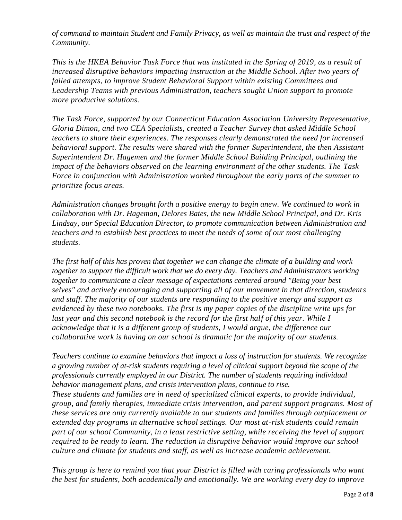*of command to maintain Student and Family Privacy, as well as maintain the trust and respect of the Community.*

*This is the HKEA Behavior Task Force that was instituted in the Spring of 2019, as a result of increased disruptive behaviors impacting instruction at the Middle School. After two years of failed attempts, to improve Student Behavioral Support within existing Committees and Leadership Teams with previous Administration, teachers sought Union support to promote more productive solutions.*

*The Task Force, supported by our Connecticut Education Association University Representative, Gloria Dimon, and two CEA Specialists, created a Teacher Survey that asked Middle School teachers to share their experiences. The responses clearly demonstrated the need for increased behavioral support. The results were shared with the former Superintendent, the then Assistant Superintendent Dr. Hagemen and the former Middle School Building Principal, outlining the impact of the behaviors observed on the learning environment of the other students. The Task Force in conjunction with Administration worked throughout the early parts of the summer to prioritize focus areas.*

*Administration changes brought forth a positive energy to begin anew. We continued to work in collaboration with Dr. Hageman, Delores Bates, the new Middle School Principal, and Dr. Kris Lindsay, our Special Education Director, to promote communication between Administration and teachers and to establish best practices to meet the needs of some of our most challenging students.*

*The first half of this has proven that together we can change the climate of a building and work together to support the difficult work that we do every day. Teachers and Administrators working together to communicate a clear message of expectations centered around "Being your best selves" and actively encouraging and supporting all of our movement in that direction, students and staff. The majority of our students are responding to the positive energy and support as evidenced by these two notebooks. The first is my paper copies of the discipline write ups for*  last year and this second notebook is the record for the first half of this year. While I *acknowledge that it is a different group of students, I would argue, the difference our collaborative work is having on our school is dramatic for the majority of our students.*

*Teachers continue to examine behaviors that impact a loss of instruction for students. We recognize a growing number of at-risk students requiring a level of clinical support beyond the scope of the professionals currently employed in our District. The number of students requiring individual behavior management plans, and crisis intervention plans, continue to rise. These students and families are in need of specialized clinical experts, to provide individual, group, and family therapies, immediate crisis intervention, and parent support programs. Most of these services are only currently available to our students and families through outplacement or extended day programs in alternative school settings. Our most at-risk students could remain part of our school Community, in a least restrictive setting, while receiving the level of support required to be ready to learn. The reduction in disruptive behavior would improve our school culture and climate for students and staff, as well as increase academic achievement.*

*This group is here to remind you that your District is filled with caring professionals who want the best for students, both academically and emotionally. We are working every day to improve*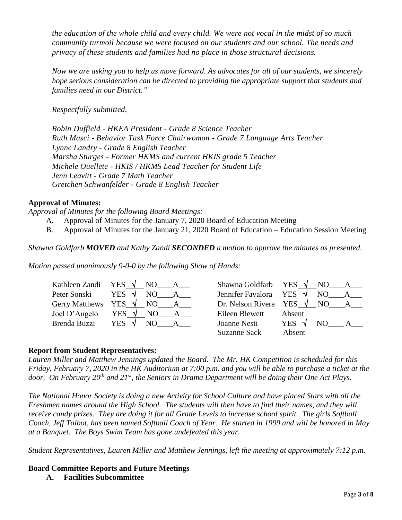*the education of the whole child and every child. We were not vocal in the midst of so much community turmoil because we were focused on our students and our school. The needs and privacy of these students and families had no place in those structural decisions.*

*Now we are asking you to help us move forward. As advocates for all of our students, we sincerely hope serious consideration can be directed to providing the appropriate support that students and families need in our District."*

*Respectfully submitted,*

*Robin Duffield - HKEA President - Grade 8 Science Teacher Ruth Masci - Behavior Task Force Chairwoman - Grade 7 Language Arts Teacher Lynne Landry - Grade 8 English Teacher Marsha Sturges - Former HKMS and current HKIS grade 5 Teacher Michele Ouellete - HKIS / HKMS Lead Teacher for Student Life Jenn Leavitt - Grade 7 Math Teacher Gretchen Schwanfelder - Grade 8 English Teacher*

# **Approval of Minutes:**

*Approval of Minutes for the following Board Meetings:*

- A. Approval of Minutes for the January 7, 2020 Board of Education Meeting
- B. Approval of Minutes for the January 21, 2020 Board of Education Education Session Meeting

*Shawna Goldfarb MOVED and Kathy Zandi SECONDED a motion to approve the minutes as presented.* 

*Motion passed unanimously 9-0-0 by the following Show of Hands:*

| Kathleen Zandi YES $\sqrt{NQ}$ | A                                      | Shawna Goldfarb YES $\sqrt{NQ}$      |                       | $A_{-}$      |
|--------------------------------|----------------------------------------|--------------------------------------|-----------------------|--------------|
| Peter Sonski                   | YES $\sqrt{}$<br>NO<br>$\cdot$ $A$     | Jennifer Favalora YES $\sqrt{}$      |                       | NO A         |
|                                | Gerry Matthews YES $\sqrt{NO_A_A}$     | Dr. Nelson Rivera YES $\sqrt{}$ NO A |                       |              |
| Joel D'Angelo                  | YES $\sqrt{ }$<br>NO<br>$\overline{A}$ | Eileen Blewett                       | Absent                |              |
| Brenda Buzzi                   | YES $\sqrt{ }$<br>NO.                  | Joanne Nesti                         | YES $\sqrt{ }$<br>NO. | $\mathbf{A}$ |
|                                |                                        | <b>Suzanne Sack</b>                  | Absent                |              |

## **Report from Student Representatives:**

*Lauren Miller and Matthew Jennings updated the Board. The Mr. HK Competition is scheduled for this Friday, February 7, 2020 in the HK Auditorium at 7:00 p.m. and you will be able to purchase a ticket at the door. On February 20th and 21st , the Seniors in Drama Department will be doing their One Act Plays.*

*The National Honor Society is doing a new Activity for School Culture and have placed Stars with all the Freshmen names around the High School. The students will then have to find their names, and they will receive candy prizes. They are doing it for all Grade Levels to increase school spirit. The girls Softball Coach, Jeff Talbot, has been named Softball Coach of Year. He started in 1999 and will be honored in May at a Banquet. The Boys Swim Team has gone undefeated this year.*

*Student Representatives, Lauren Miller and Matthew Jennings, left the meeting at approximately 7:12 p.m.*

**Board Committee Reports and Future Meetings A. Facilities Subcommittee**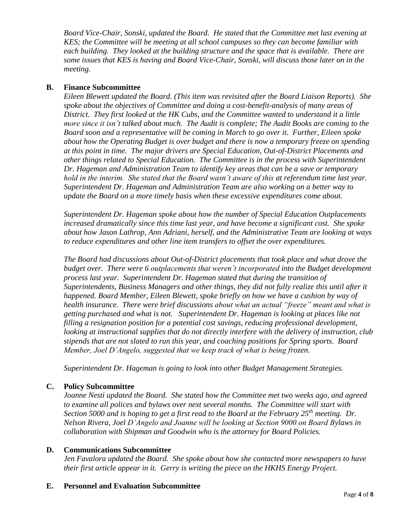*Board Vice-Chair, Sonski, updated the Board. He stated that the Committee met last evening at KES; the Committee will be meeting at all school campuses so they can become familiar with each building. They looked at the building structure and the space that is available. There are some issues that KES is having and Board Vice-Chair, Sonski, will discuss those later on in the meeting.* 

#### **B. Finance Subcommittee**

*Eileen Blewett updated the Board. (This item was revisited after the Board Liaison Reports). She spoke about the objectives of Committee and doing a cost-benefit-analysis of many areas of District. They first looked at the HK Cubs, and the Committee wanted to understand it a little more since it isn't talked about much. The Audit is complete; The Audit Books are coming to the Board soon and a representative will be coming in March to go over it. Further, Eileen spoke about how the Operating Budget is over budget and there is now a temporary freeze on spending at this point in time. The major drivers are Special Education, Out-of-District Placements and other things related to Special Education. The Committee is in the process with Superintendent Dr. Hageman and Administration Team to identify key areas that can be a save or temporary hold in the interim. She stated that the Board wasn't aware of this at referendum time last year. Superintendent Dr. Hageman and Administration Team are also working on a better way to update the Board on a more timely basis when these excessive expenditures come about.*

*Superintendent Dr. Hageman spoke about how the number of Special Education Outplacements increased dramatically since this time last year, and have become a significant cost. She spoke about how Jason Lathrop, Ann Adriani, herself, and the Administrative Team are looking at ways to reduce expenditures and other line item transfers to offset the over expenditures.* 

*The Board had discussions about Out-of-District placements that took place and what drove the budget over. There were 6 outplacements that weren't incorporated into the Budget development process last year. Superintendent Dr. Hageman stated that during the transition of Superintendents, Business Managers and other things, they did not fully realize this until after it happened. Board Member, Eileen Blewett, spoke briefly on how we have a cushion by way of health insurance. There were brief discussions about what an actual "freeze" meant and what is getting purchased and what is not. Superintendent Dr. Hageman is looking at places like not filling a resignation position for a potential cost savings, reducing professional development, looking at instructional supplies that do not directly interfere with the delivery of instruction, club stipends that are not slated to run this year, and coaching positions for Spring sports. Board Member, Joel D'Angelo, suggested that we keep track of what is being frozen.*

*Superintendent Dr. Hageman is going to look into other Budget Management Strategies.*

## **C. Policy Subcommittee**

*Joanne Nesti updated the Board. She stated how the Committee met two weeks ago, and agreed to examine all polices and bylaws over next several months. The Committee will start with Section 5000 and is hoping to get a first read to the Board at the February 25th meeting. Dr. Nelson Rivera, Joel D'Angelo and Joanne will be looking at Section 9000 on Board Bylaws in collaboration with Shipman and Goodwin who is the attorney for Board Policies.*

#### **D. Communications Subcommittee**

*Jen Favalora updated the Board. She spoke about how she contacted more newspapers to have their first article appear in it. Gerry is writing the piece on the HKHS Energy Project.*

#### **E. Personnel and Evaluation Subcommittee**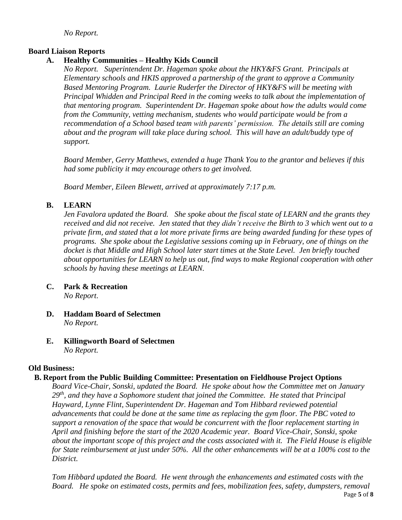*No Report.*

## **Board Liaison Reports**

# **A. Healthy Communities – Healthy Kids Council**

*No Report. Superintendent Dr. Hageman spoke about the HKY&FS Grant. Principals at Elementary schools and HKIS approved a partnership of the grant to approve a Community Based Mentoring Program. Laurie Ruderfer the Director of HKY&FS will be meeting with Principal Whidden and Principal Reed in the coming weeks to talk about the implementation of that mentoring program. Superintendent Dr. Hageman spoke about how the adults would come from the Community, vetting mechanism, students who would participate would be from a recommendation of a School based team with parents' permission. The details still are coming about and the program will take place during school. This will have an adult/buddy type of support.*

*Board Member, Gerry Matthews, extended a huge Thank You to the grantor and believes if this had some publicity it may encourage others to get involved.* 

*Board Member, Eileen Blewett, arrived at approximately 7:17 p.m.*

# **B. LEARN**

*Jen Favalora updated the Board. She spoke about the fiscal state of LEARN and the grants they received and did not receive. Jen stated that they didn't receive the Birth to 3 which went out to a private firm, and stated that a lot more private firms are being awarded funding for these types of programs. She spoke about the Legislative sessions coming up in February, one of things on the docket is that Middle and High School later start times at the State Level. Jen briefly touched about opportunities for LEARN to help us out, find ways to make Regional cooperation with other schools by having these meetings at LEARN.*

- **C. Park & Recreation** *No Report*.
- **D. Haddam Board of Selectmen** *No Report.*
- **E. Killingworth Board of Selectmen** *No Report.*

## **Old Business:**

## **B. Report from the Public Building Committee: Presentation on Fieldhouse Project Options**

*Board Vice-Chair, Sonski, updated the Board. He spoke about how the Committee met on January 29th , and they have a Sophomore student that joined the Committee. He stated that Principal Hayward, Lynne Flint, Superintendent Dr. Hageman and Tom Hibbard reviewed potential advancements that could be done at the same time as replacing the gym floor. The PBC voted to support a renovation of the space that would be concurrent with the floor replacement starting in April and finishing before the start of the 2020 Academic year. Board Vice-Chair, Sonski, spoke about the important scope of this project and the costs associated with it. The Field House is eligible for State reimbursement at just under 50%. All the other enhancements will be at a 100% cost to the District.* 

*Tom Hibbard updated the Board. He went through the enhancements and estimated costs with the Board. He spoke on estimated costs, permits and fees, mobilization fees, safety, dumpsters, removal*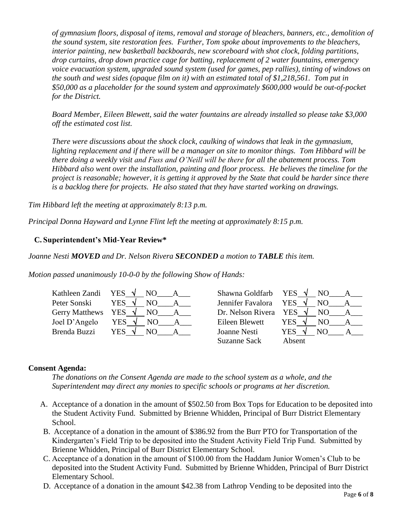*of gymnasium floors, disposal of items, removal and storage of bleachers, banners, etc., demolition of the sound system, site restoration fees. Further, Tom spoke about improvements to the bleachers, interior painting, new basketball backboards, new scoreboard with shot clock, folding partitions, drop curtains, drop down practice cage for batting, replacement of 2 water fountains, emergency voice evacuation system, upgraded sound system (used for games, pep rallies), tinting of windows on the south and west sides (opaque film on it) with an estimated total of \$1,218,561. Tom put in \$50,000 as a placeholder for the sound system and approximately \$600,000 would be out-of-pocket for the District.*

*Board Member, Eileen Blewett, said the water fountains are already installed so please take \$3,000 off the estimated cost list.*

*There were discussions about the shock clock, caulking of windows that leak in the gymnasium, lighting replacement and if there will be a manager on site to monitor things. Tom Hibbard will be there doing a weekly visit and Fuss and O'Neill will be there for all the abatement process. Tom Hibbard also went over the installation, painting and floor process. He believes the timeline for the project is reasonable; however, it is getting it approved by the State that could be harder since there is a backlog there for projects. He also stated that they have started working on drawings.*

*Tim Hibbard left the meeting at approximately 8:13 p.m.*

*Principal Donna Hayward and Lynne Flint left the meeting at approximately 8:15 p.m.*

#### **C. Superintendent's Mid-Year Review\***

*Joanne Nesti MOVED and Dr. Nelson Rivera SECONDED a motion to TABLE this item.*

*Motion passed unanimously 10-0-0 by the following Show of Hands:*

|               | Kathleen Zandi YES $\sqrt{}$ NO A            | Shawna Goldfarb YES $\sqrt{N}$ NO |                |     | A            |
|---------------|----------------------------------------------|-----------------------------------|----------------|-----|--------------|
| Peter Sonski  | YES $\sqrt{}$<br>NO<br>A                     | Jennifer Favalora YES $\sqrt{}$   |                |     | NO A         |
|               | Gerry Matthews YES $\sqrt{\phantom{a}}$ NO A | Dr. Nelson Rivera YES $\sqrt{}$   |                | NO  | $\mathbf{A}$ |
| Joel D'Angelo | YES $\sqrt{ }$<br>NO.<br>$\overline{A}$      | Eileen Blewett                    | YES $\sqrt{ }$ | NO. | $\mathbf{A}$ |
| Brenda Buzzi  | YES $\sqrt{}$<br>NO.                         | Joanne Nesti                      | YES $\sqrt{ }$ | NO. | $\mathsf{A}$ |
|               |                                              | Suzanne Sack                      | Absent         |     |              |

#### **Consent Agenda:**

*The donations on the Consent Agenda are made to the school system as a whole, and the Superintendent may direct any monies to specific schools or programs at her discretion.*

- A. Acceptance of a donation in the amount of \$502.50 from Box Tops for Education to be deposited into the Student Activity Fund. Submitted by Brienne Whidden, Principal of Burr District Elementary School.
- B. Acceptance of a donation in the amount of \$386.92 from the Burr PTO for Transportation of the Kindergarten's Field Trip to be deposited into the Student Activity Field Trip Fund. Submitted by Brienne Whidden, Principal of Burr District Elementary School.
- C. Acceptance of a donation in the amount of \$100.00 from the Haddam Junior Women's Club to be deposited into the Student Activity Fund. Submitted by Brienne Whidden, Principal of Burr District Elementary School.
- D. Acceptance of a donation in the amount \$42.38 from Lathrop Vending to be deposited into the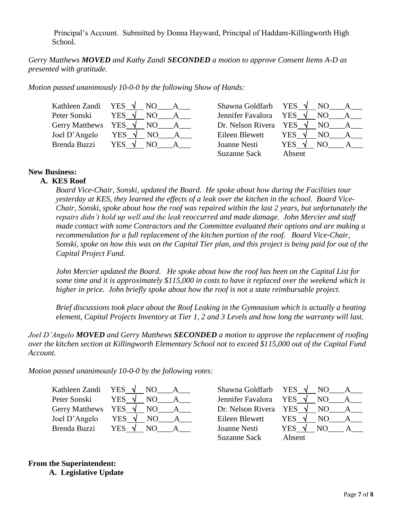Principal's Account. Submitted by Donna Hayward, Principal of Haddam-Killingworth High School.

*Gerry Matthews MOVED and Kathy Zandi SECONDED a motion to approve Consent Items A-D as presented with gratitude.* 

*Motion passed unanimously 10-0-0 by the following Show of Hands:*

| Kathleen Zandi YES $\sqrt{N}$ NO |                                         | Shawna Goldfarb YES $\sqrt{N}$ NO | $A \quad \alpha$                      |  |
|----------------------------------|-----------------------------------------|-----------------------------------|---------------------------------------|--|
| Peter Sonski                     | YES $\sqrt{ }$<br>NO.<br>$\mathbf A$    | Jennifer Favalora YES $\sqrt{}$   | NO.<br>$\mathbf{A}$                   |  |
|                                  | Gerry Matthews YES $\sqrt{}$ NO A       | Dr. Nelson Rivera YES $\sqrt{}$   | NO<br>$\overline{A}$                  |  |
| Joel D'Angelo                    | YES $\sqrt{ }$<br>NO.<br>$\cdot$ $\_\A$ | Eileen Blewett                    | YES $\sqrt{ }$<br>NO.<br>A            |  |
| Brenda Buzzi                     | YES $\sqrt{ }$<br>NO.                   | Joanne Nesti                      | YES $\sqrt{ }$<br>NO.<br>$\mathbf{A}$ |  |
|                                  |                                         | Suzanne Sack                      | Absent                                |  |

#### **New Business:**

#### **A. KES Roof**

*Board Vice-Chair, Sonski, updated the Board. He spoke about how during the Facilities tour yesterday at KES, they learned the effects of a leak over the kitchen in the school. Board Vice-Chair, Sonski, spoke about how the roof was repaired within the last 2 years, but unfortunately the repairs didn't hold up well and the leak reoccurred and made damage. John Mercier and staff made contact with some Contractors and the Committee evaluated their options and are making a recommendation for a full replacement of the kitchen portion of the roof. Board Vice-Chair, Sonski, spoke on how this was on the Capital Tier plan, and this project is being paid for out of the Capital Project Fund.*

*John Mercier updated the Board. He spoke about how the roof has been on the Capital List for some time and it is approximately \$115,000 in costs to have it replaced over the weekend which is higher in price. John briefly spoke about how the roof is not a state reimbursable project.*

*Brief discussions took place about the Roof Leaking in the Gymnasium which is actually a heating element, Capital Projects Inventory at Tier 1, 2 and 3 Levels and how long the warranty will last.*

*Joel D'Angelo MOVED and Gerry Matthews SECONDED a motion to approve the replacement of roofing over the kitchen section at Killingworth Elementary School not to exceed \$115,000 out of the Capital Fund Account.*

*Motion passed unanimously 10-0-0 by the following votes:*

| Kathleen Zandi     | YES $\sqrt{ }$<br>NO. | Shawna Goldfarb       | YES $\sqrt{ }$ | NO. |  |
|--------------------|-----------------------|-----------------------|----------------|-----|--|
| Peter Sonski       | YES                   | Jennifer Favalora     | <b>YES</b>     | NO. |  |
| Gerry Matthews YES | ่√<br>NO.             | Dr. Nelson Rivera YES | $\sim$         | NO  |  |
| Joel D'Angelo      | <b>YES</b><br>NO.     | Eileen Blewett        | <b>YES</b>     | NО  |  |
| Brenda Buzzi       | YES                   | Joanne Nesti          | YES            |     |  |

| Kathleen Zandi YES √ NO |                                        | Shawna Goldfarb YES $\sqrt{N}$ NO |                                       |
|-------------------------|----------------------------------------|-----------------------------------|---------------------------------------|
| Peter Sonski            | YES $\sqrt{}$<br>NO.<br>$\overline{A}$ | Jennifer Favalora YES $\sqrt{}$   | NO –                                  |
|                         | Gerry Matthews YES $\sqrt{NO_{max}}$ A | Dr. Nelson Rivera YES $\sqrt{}$   | NO.<br>$\mathbf{A}$                   |
| Joel D'Angelo           | YES $\sqrt{ }$<br>NO A                 | Eileen Blewett                    | YES $\sqrt{ }$<br>NO.                 |
| Brenda Buzzi            | YES $\sqrt{ }$<br>NO.                  | Joanne Nesti                      | YES $\sqrt{ }$<br>NO.<br>$\mathbf{A}$ |
|                         |                                        | <b>Suzanne Sack</b>               | Absent                                |
|                         |                                        |                                   |                                       |

# **From the Superintendent:**

**A. Legislative Update**